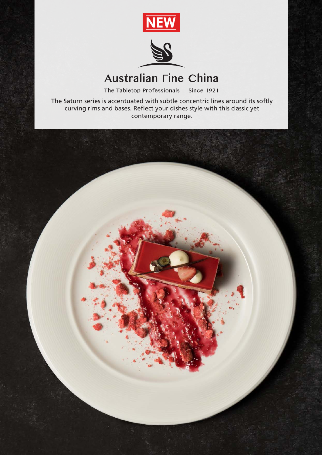



## **Australian Fine China**

The Tabletop Professionals | Since 1921

The Saturn series is accentuated with subtle concentric lines around its softly curving rims and bases. Reflect your dishes style with this classic yet contemporary range.

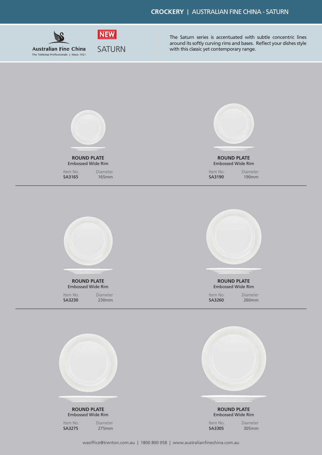

The Saturn series is accentuated with subtle concentric lines around its softly curving rims and bases. Reflect your dishes style with this classic yet contemporary range.



**ROUND PLATE** Embossed Wide Rim

SA3275 275mm Item No. Diameter Embossed Wide Rim

SA3305 305mm Item No. Diameter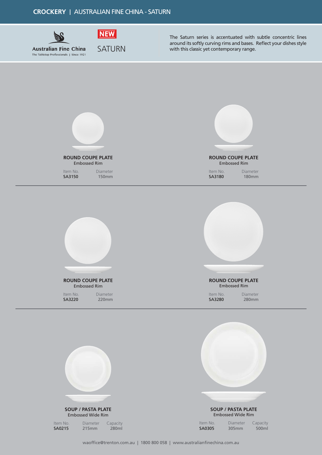**CROCKERY** | AUSTRALIAN FINE CHINA - SATURN



The Saturn series is accentuated with subtle concentric lines around its softly curving rims and bases. Reflect your dishes style with this classic yet contemporary range.



**SOUP / PASTA PLATE** Embossed Wide Rim

Item No. Diameter Capacity<br> **SA0215** 215mm 280ml

215mm

Embossed Wide Rim

| Item No. | Diameter | Capacity |
|----------|----------|----------|
| SA0305   | 305mm    | 500ml    |

**SOUP / PASTA PLATE**

waoffice@trenton.com.au | 1800 800 058 | www.australianfinechina.com.au